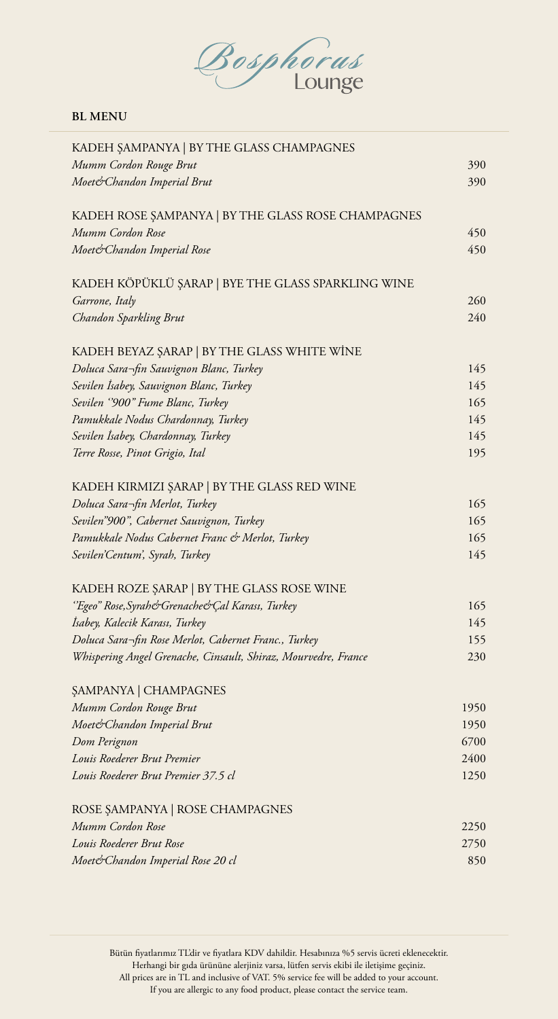Bosphorus

#### **BL MENU**

| KADEH ŞAMPANYA   BY THE GLASS CHAMPAGNES                       |      |
|----------------------------------------------------------------|------|
| Mumm Cordon Rouge Brut                                         | 390  |
| Moet&Chandon Imperial Brut                                     | 390  |
| KADEH ROSE ŞAMPANYA   BY THE GLASS ROSE CHAMPAGNES             |      |
| Mumm Cordon Rose                                               | 450  |
| Moet& Chandon Imperial Rose                                    | 450  |
| KADEH KÖPÜKLÜ ŞARAP   BYE THE GLASS SPARKLING WINE             |      |
| Garrone, Italy                                                 | 260  |
| Chandon Sparkling Brut                                         | 240  |
| KADEH BEYAZ ŞARAP   BY THE GLASS WHITE WİNE                    |      |
| Doluca Sara-fin Sauvignon Blanc, Turkey                        | 145  |
| Sevilen İsabey, Sauvignon Blanc, Turkey                        | 145  |
| Sevilen "900" Fume Blanc, Turkey                               | 165  |
| Pamukkale Nodus Chardonnay, Turkey                             | 145  |
| Sevilen İsabey, Chardonnay, Turkey                             | 145  |
| Terre Rosse, Pinot Grigio, Ital                                | 195  |
| KADEH KIRMIZI ŞARAP   BY THE GLASS RED WINE                    |      |
| Doluca Sara¬fin Merlot, Turkey                                 | 165  |
| Sevilen"900", Cabernet Sauvignon, Turkey                       | 165  |
| Pamukkale Nodus Cabernet Franc & Merlot, Turkey                | 165  |
| Sevilen'Centum', Syrah, Turkey                                 | 145  |
| KADEH ROZE ŞARAP   BY THE GLASS ROSE WINE                      |      |
| "Egeo" Rose, Syrah& Grenache& Çal Karası, Turkey               | 165  |
| İsabey, Kalecik Karası, Turkey                                 | 145  |
| Doluca Sara-fin Rose Merlot, Cabernet Franc., Turkey           | 155  |
| Whispering Angel Grenache, Cinsault, Shiraz, Mourvedre, France | 230  |
| ŞAMPANYA   CHAMPAGNES                                          |      |
| Mumm Cordon Rouge Brut                                         | 1950 |
| Moet&Chandon Imperial Brut                                     | 1950 |
| Dom Perignon                                                   | 6700 |
| Louis Roederer Brut Premier                                    | 2400 |
| Louis Roederer Brut Premier 37.5 cl                            | 1250 |
| ROSE ŞAMPANYA   ROSE CHAMPAGNES                                |      |
| Mumm Cordon Rose                                               | 2250 |
| Louis Roederer Brut Rose                                       | 2750 |
| Moet& Chandon Imperial Rose 20 cl                              | 850  |
|                                                                |      |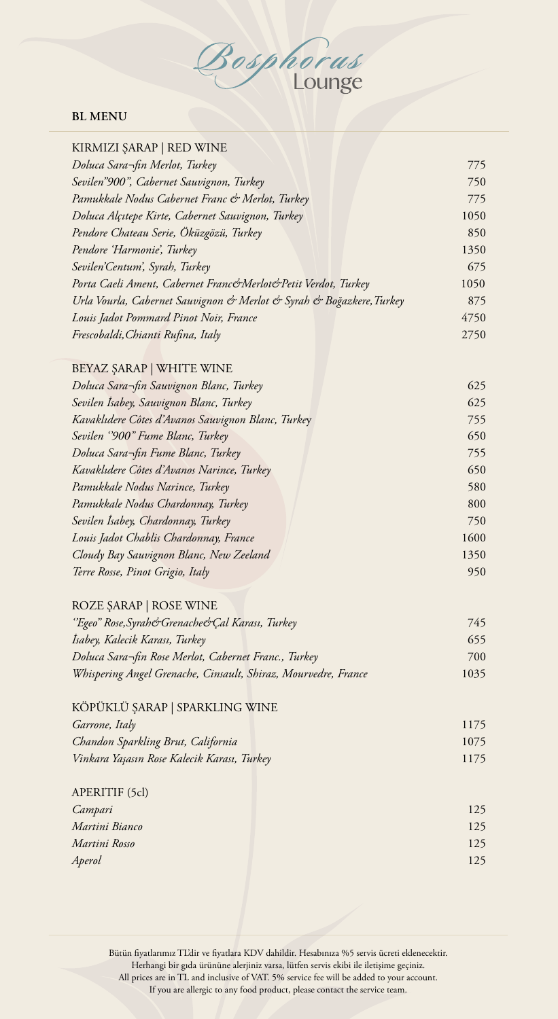Bosphorus

## **BL MENU**

| KIRMIZI ŞARAP   RED WINE                                             |      |
|----------------------------------------------------------------------|------|
| Doluca Sara¬fin Merlot, Turkey                                       | 775  |
| Sevilen"900", Cabernet Sauvignon, Turkey                             | 750  |
| Pamukkale Nodus Cabernet Franc & Merlot, Turkey                      | 775  |
| Doluca Alçıtepe Kirte, Cabernet Sauvignon, Turkey                    | 1050 |
| Pendore Chateau Serie, Öküzgözü, Turkey                              | 850  |
| Pendore 'Harmonie', Turkey                                           | 1350 |
| Sevilen'Centum', Syrah, Turkey                                       | 675  |
| Porta Caeli Ament, Cabernet Franc&Merlot&Petit Verdot, Turkey        | 1050 |
| Urla Vourla, Cabernet Sauvignon & Merlot & Syrah & Boğazkere, Turkey | 875  |
| Louis Jadot Pommard Pinot Noir, France                               | 4750 |
| Frescobaldi, Chianti Rufina, Italy                                   | 2750 |
| BEYAZ ŞARAP   WHITE WINE                                             |      |
| Doluca Sara-fin Sauvignon Blanc, Turkey                              | 625  |
| Sevilen İsabey, Sauvignon Blanc, Turkey                              | 625  |
| Kavaklıdere Côtes d'Avanos Sauvignon Blanc, Turkey                   | 755  |
| Sevilen "900" Fume Blanc, Turkey                                     | 650  |
| Doluca Sara-fin Fume Blanc, Turkey                                   | 755  |
| Kavaklıdere Côtes d'Avanos Narince, Turkey                           | 650  |
| Pamukkale Nodus Narince, Turkey                                      | 580  |
| Pamukkale Nodus Chardonnay, Turkey                                   | 800  |
| Sevilen İsabey, Chardonnay, Turkey                                   | 750  |
| Louis Jadot Chablis Chardonnay, France                               | 1600 |
| Cloudy Bay Sauvignon Blanc, New Zeeland                              | 1350 |
| Terre Rosse, Pinot Grigio, Italy                                     | 950  |
| ROZE ŞARAP   ROSE WINE                                               |      |
| 'Egeo" Rose, Syrah&Grenache&Çal Karası, Turkey                       | 745  |
| Isabey, Kalecik Karası, Turkey                                       | 655  |
| Doluca Sara¬fin Rose Merlot, Cabernet Franc., Turkey                 | 700  |
| Whispering Angel Grenache, Cinsault, Shiraz, Mourvedre, France       | 1035 |
| KÖPÜKLÜ ŞARAP   SPARKLING WINE                                       |      |
| Garrone, Italy                                                       | 1175 |
| Chandon Sparkling Brut, California                                   | 1075 |
| Vinkara Yaşasın Rose Kalecik Karası, Turkey                          | 1175 |
| APERITIF (5cl)                                                       |      |
| Campari                                                              | 125  |
| Martini Bianco                                                       | 125  |
| Martini Rosso                                                        | 125  |
| Aperol                                                               | 125  |
|                                                                      |      |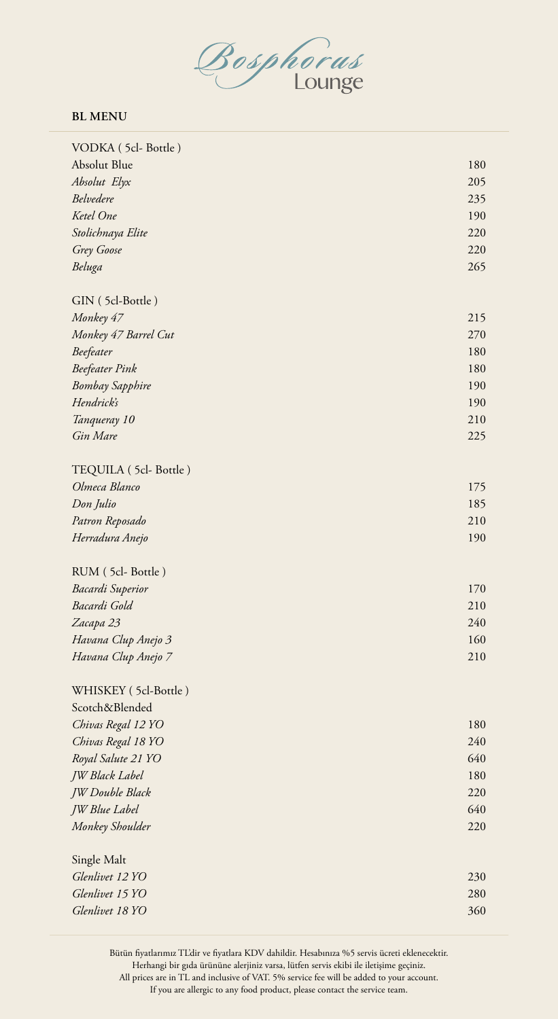

#### **BL MENU**

| VODKA (5cl-Bottle)                 |            |
|------------------------------------|------------|
| Absolut Blue                       | 180        |
| Absolut Elyx                       | 205        |
| Belvedere                          | 235        |
| Ketel One                          | 190        |
| Stolichnaya Elite                  | 220        |
| Grey Goose                         | 220        |
| Beluga                             | 265        |
|                                    |            |
| GIN (5cl-Bottle)                   |            |
| Monkey 47                          | 215        |
| Monkey 47 Barrel Cut               | 270        |
| Beefeater                          | 180        |
| <b>Beefeater Pink</b>              | 180        |
| <b>Bombay Sapphire</b>             | 190        |
| Hendrick's                         | 190        |
| Tanqueray 10                       | 210        |
| Gin Mare                           | 225        |
| TEQUILA (5cl-Bottle)               |            |
| Olmeca Blanco                      | 175        |
| Don Julio                          | 185        |
| Patron Reposado                    | 210        |
| Herradura Anejo                    | 190        |
|                                    |            |
| RUM (5cl-Bottle)                   |            |
| Bacardi Superior                   | 170        |
| Bacardi Gold                       | 210        |
| Zacapa 23                          | 240        |
| Havana Clup Anejo 3                | 160        |
| Havana Clup Anejo 7                | 210        |
| WHISKEY (5cl-Bottle)               |            |
| Scotch&Blended                     |            |
| Chivas Regal 12 YO                 | 180        |
| Chivas Regal 18 YO                 | 240        |
| Royal Salute 21 YO                 | 640        |
| JW Black Label                     | 180        |
| JW Double Black                    | 220        |
| <b>JW</b> Blue Label               | 640        |
| Monkey Shoulder                    | 220        |
|                                    |            |
|                                    |            |
| Single Malt                        |            |
| Glenlivet 12 YO                    | 230        |
| Glenlivet 15 YO<br>Glenlivet 18 YO | 280<br>360 |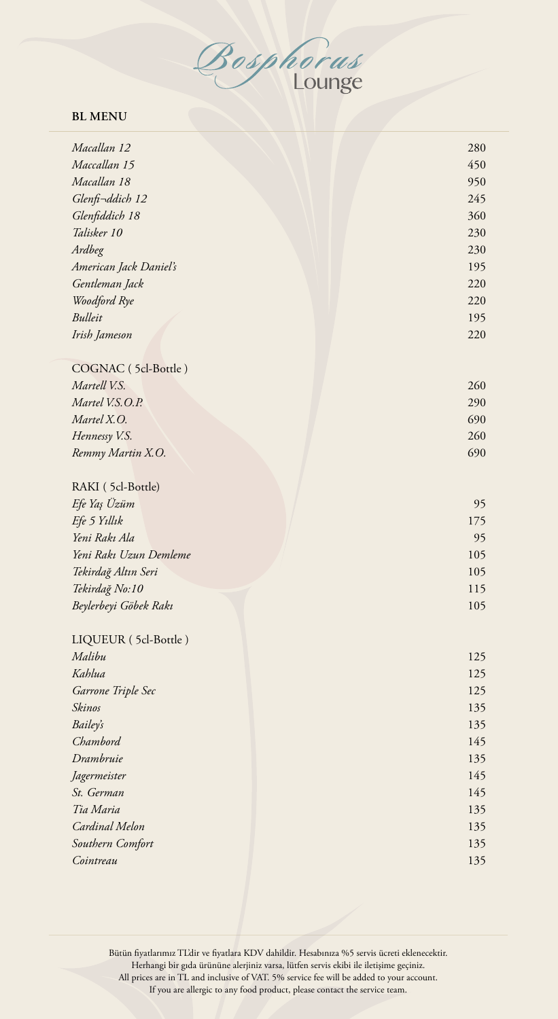

### **BL MENU**

| Macallan 12            | 280 |
|------------------------|-----|
| Maccallan 15           | 450 |
| Macallan 18            | 950 |
| Glenfi-ddich 12        | 245 |
| Glenfiddich 18         | 360 |
| Talisker 10            | 230 |
| Ardbeg                 | 230 |
| American Jack Daniel's | 195 |
| Gentleman Jack         | 220 |
| Woodford Rye           | 220 |
| Bulleit                | 195 |
| Irish Jameson          | 220 |
|                        |     |
| COGNAC (5cl-Bottle)    |     |
| Martell V.S.           | 260 |
| Martel V.S.O.P.        | 290 |
| Martel X.O.            | 690 |
| Hennessy V.S.          | 260 |
| Remmy Martin X.O.      | 690 |
|                        |     |
| RAKI (5cl-Bottle)      |     |
| Efe Yaş Üzüm           | 95  |
| Efe 5 Yıllık           | 175 |
| Yeni Rakı Ala          | 95  |
| Yeni Rakı Uzun Demleme | 105 |
| Tekirdağ Altın Seri    | 105 |
| Tekirdağ No:10         | 115 |
| Beylerbeyi Göbek Rakı  | 105 |
|                        |     |
| LIQUEUR (5cl-Bottle)   |     |
| Malibu                 | 125 |
| Kahlua                 | 125 |
| Garrone Triple Sec     | 125 |
| Skinos                 | 135 |
| <b>Bailey's</b>        | 135 |
| Chambord               | 145 |
| Drambruie              | 135 |
| Jagermeister           | 145 |
| St. German             | 145 |
| Tia Maria              | 135 |
| Cardinal Melon         | 135 |
| Southern Comfort       | 135 |
| Cointreau              | 135 |
|                        |     |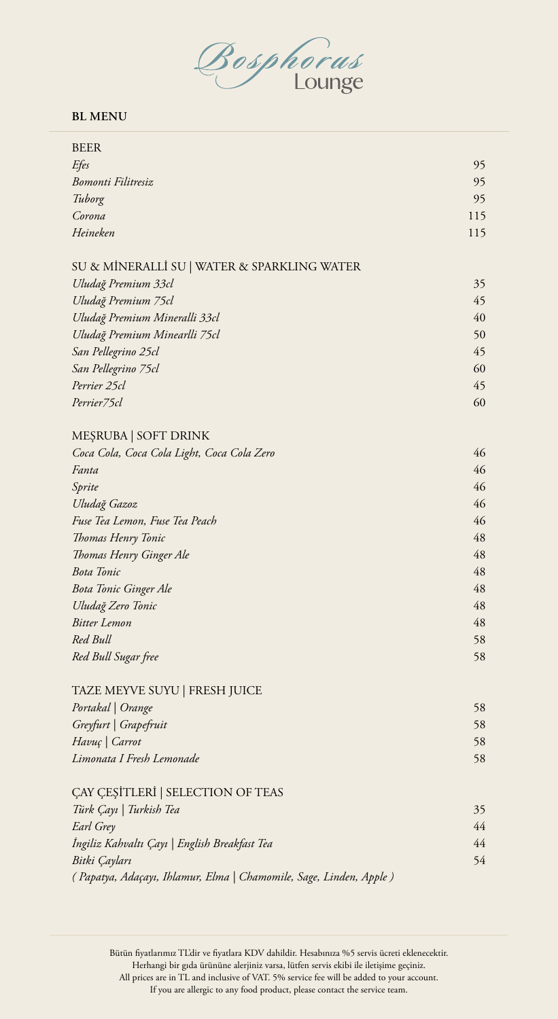Bosphorus

#### **BL MENU**

| <b>BEER</b>                                                        |     |
|--------------------------------------------------------------------|-----|
| Efes                                                               | 95  |
| <b>Bomonti Filitresiz</b>                                          | 95  |
| Tuborg                                                             | 95  |
| Corona                                                             | 115 |
| Heineken                                                           | 115 |
|                                                                    |     |
| SU & MİNERALLİ SU   WATER & SPARKLING WATER                        |     |
| Uludağ Premium 33cl                                                | 35  |
| Uludağ Premium 75cl                                                | 45  |
| Uludağ Premium Mineralli 33cl                                      | 40  |
| Uludağ Premium Minearlli 75cl                                      | 50  |
| San Pellegrino 25cl                                                | 45  |
| San Pellegrino 75cl                                                | 60  |
| Perrier 25cl                                                       | 45  |
| Perrier75cl                                                        | 60  |
|                                                                    |     |
| MEŞRUBA   SOFT DRINK                                               |     |
| Coca Cola, Coca Cola Light, Coca Cola Zero                         | 46  |
| Fanta                                                              | 46  |
| Sprite                                                             | 46  |
| Uludağ Gazoz                                                       | 46  |
| Fuse Tea Lemon, Fuse Tea Peach                                     | 46  |
| Thomas Henry Tonic                                                 | 48  |
| Thomas Henry Ginger Ale                                            | 48  |
| <b>Bota Tonic</b>                                                  | 48  |
| <b>Bota Tonic Ginger Ale</b>                                       | 48  |
| Uludağ Zero Tonic                                                  | 48  |
| <b>Bitter Lemon</b>                                                | 48  |
| Red Bull                                                           | 58  |
| Red Bull Sugar free                                                | 58  |
|                                                                    |     |
| TAZE MEYVE SUYU   FRESH JUICE                                      |     |
| Portakal   Orange                                                  | 58  |
| Greyfurt   Grapefruit                                              | 58  |
| Havuç   Carrot                                                     | 58  |
| Limonata I Fresh Lemonade                                          | 58  |
| ÇAY ÇEŞİTLERİ   SELECTION OF TEAS                                  |     |
| Türk Çayı   Turkish Tea                                            | 35  |
| Earl Grey                                                          | 44  |
| İngiliz Kahvaltı Çayı   English Breakfast Tea                      | 44  |
| Bitki Çayları                                                      | 54  |
| (Papatya, Adaçayı, Ihlamur, Elma   Chamomile, Sage, Linden, Apple) |     |